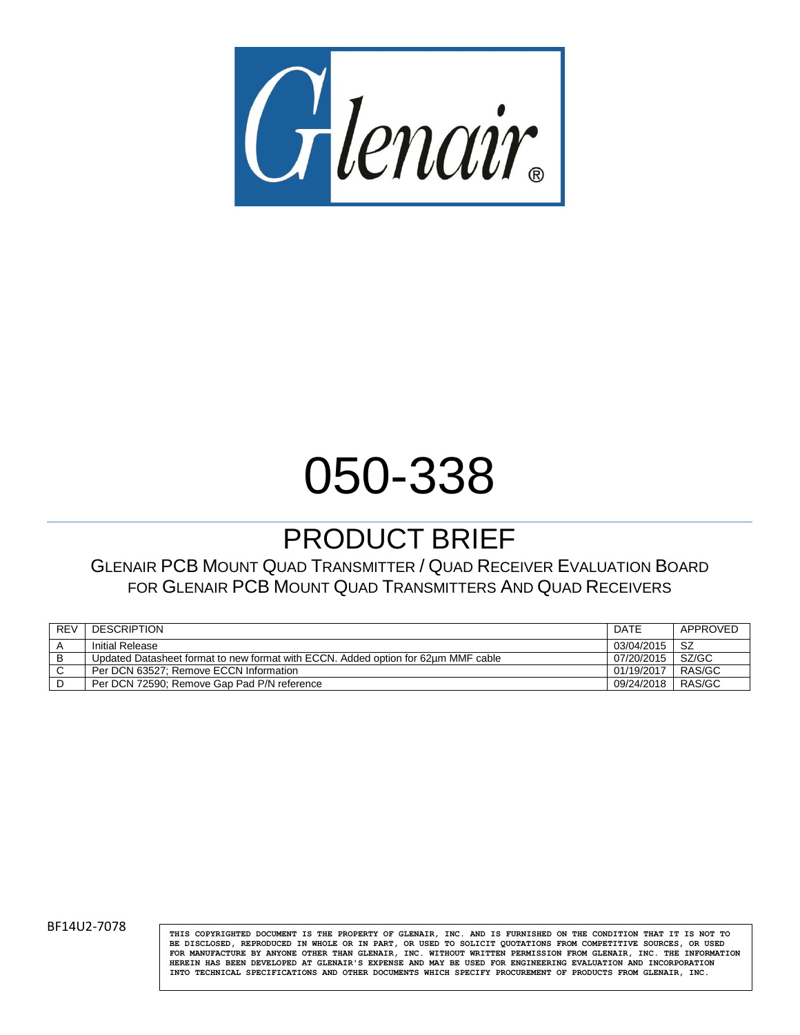

# 050-338

# PRODUCT BRIEF

GLENAIR PCB MOUNT QUAD TRANSMITTER / QUAD RECEIVER EVALUATION BOARD FOR GLENAIR PCB MOUNT QUAD TRANSMITTERS AND QUAD RECEIVERS

| <b>REV</b> | <b>DESCRIPTION</b>                                                                | DATE       | APPROVED |
|------------|-----------------------------------------------------------------------------------|------------|----------|
|            | <b>Initial Release</b>                                                            | 03/04/2015 | -SZ      |
| в          | Updated Datasheet format to new format with ECCN. Added option for 62um MMF cable | 07/20/2015 | SZ/GC    |
| C          | Per DCN 63527: Remove ECCN Information                                            | 01/19/2017 | RAS/GC   |
|            | Per DCN 72590: Remove Gap Pad P/N reference                                       | 09/24/2018 | RAS/GC   |

BF14U2-7078 **THIS COPYRIGHTED DOCUMENT IS THE PROPERTY** OF GLENAIR, INC. AND IS FURNISHED ON THE CONDITION THAT IT IS NOT TO **BE DISCLOSED, REPRODUCED IN WHOLE OR IN PART, OR USED TO SOLICIT QUOTATIONS FROM COMPETITIVE SOURCES, OR USED FOR MANUFACTURE BY ANYONE OTHER THAN GLENAIR, INC. WITHOUT WRITTEN PERMISSION FROM GLENAIR, INC. THE INFORMATION HEREIN HAS BEEN DEVELOPED AT GLENAIR'S EXPENSE AND MAY BE USED FOR ENGINEERING EVALUATION AND INCORPORATION INTO TECHNICAL SPECIFICATIONS AND OTHER DOCUMENTS WHICH SPECIFY PROCUREMENT OF PRODUCTS FROM GLENAIR, INC.**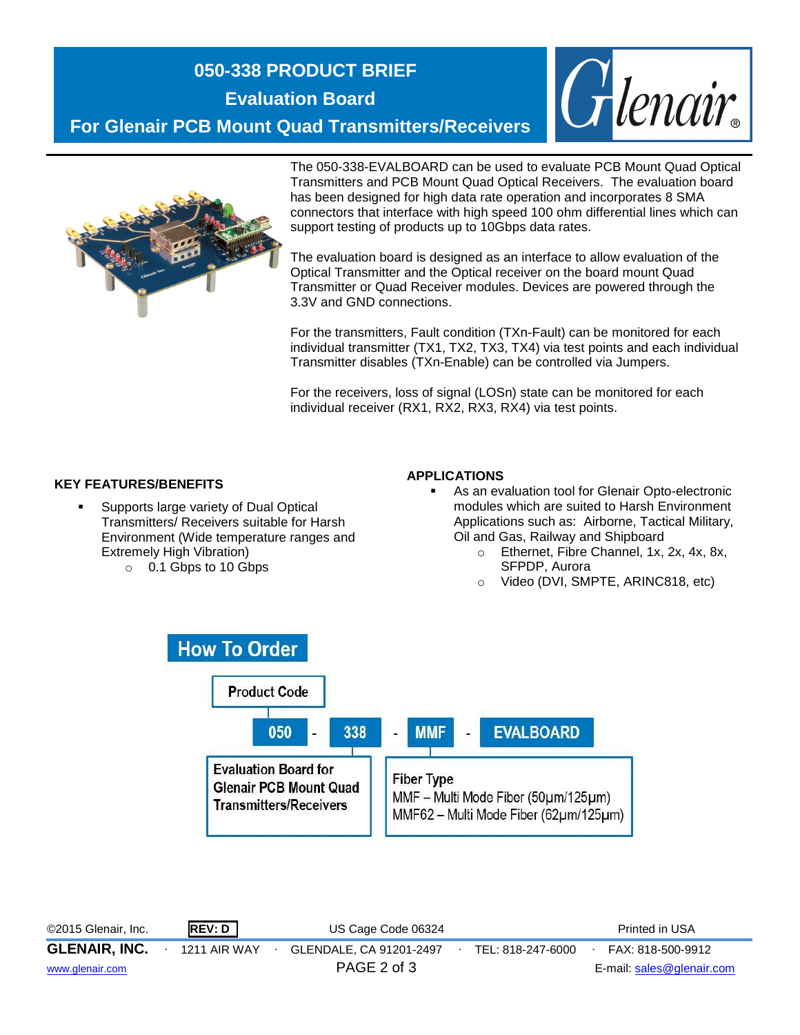# **050-338 PRODUCT BRIEF**

**Evaluation Board**

**For Glenair PCB Mount Quad Transmitters/Receivers**





The 050-338-EVALBOARD can be used to evaluate PCB Mount Quad Optical Transmitters and PCB Mount Quad Optical Receivers. The evaluation board has been designed for high data rate operation and incorporates 8 SMA connectors that interface with high speed 100 ohm differential lines which can support testing of products up to 10Gbps data rates.

The evaluation board is designed as an interface to allow evaluation of the Optical Transmitter and the Optical receiver on the board mount Quad Transmitter or Quad Receiver modules. Devices are powered through the 3.3V and GND connections.

For the transmitters, Fault condition (TXn-Fault) can be monitored for each individual transmitter (TX1, TX2, TX3, TX4) via test points and each individual Transmitter disables (TXn-Enable) can be controlled via Jumpers.

For the receivers, loss of signal (LOSn) state can be monitored for each individual receiver (RX1, RX2, RX3, RX4) via test points.

#### **KEY FEATURES/BENEFITS**

- **Supports large variety of Dual Optical** Transmitters/ Receivers suitable for Harsh Environment (Wide temperature ranges and Extremely High Vibration)
	- o 0.1 Gbps to 10 Gbps

#### **APPLICATIONS**

- As an evaluation tool for Glenair Opto-electronic modules which are suited to Harsh Environment Applications such as: Airborne, Tactical Military, Oil and Gas, Railway and Shipboard
	- o Ethernet, Fibre Channel, 1x, 2x, 4x, 8x, SFPDP, Aurora
	- o Video (DVI, SMPTE, ARINC818, etc)



©2015 Glenair, Inc. **REV: D** US Cage Code 06324 Printed in USA **GLENAIR, INC.** ∙ 1211 AIR WAY ∙ GLENDALE, CA 91201-2497∙ TEL: 818-247-6000∙ FAX: 818-500-9912 [www.glenair.com](http://www.glenair.com/) PAGE 2 of 3 E-mail: [sales@glenair.com](mailto:sales@glenair.com)